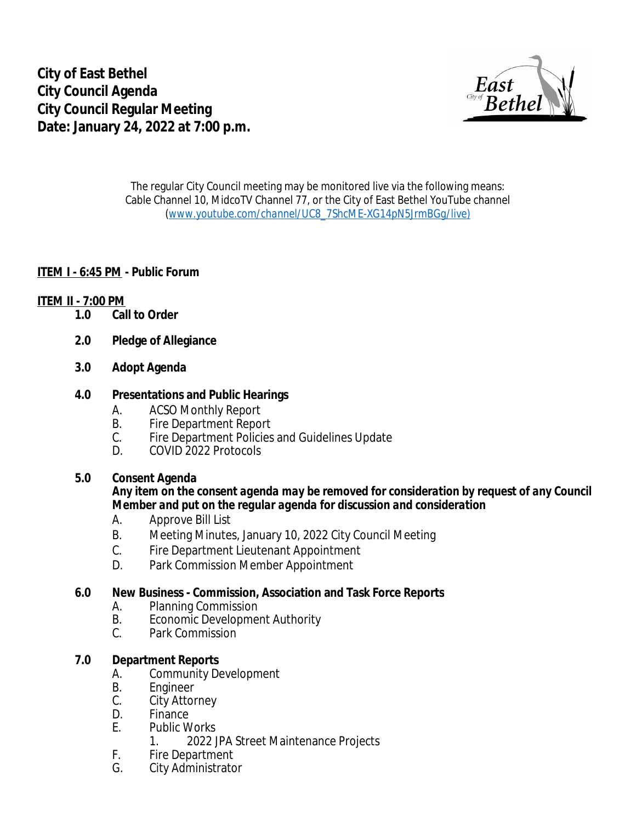

The regular City Council meeting may be monitored live via the following means: Cable Channel 10, MidcoTV Channel 77, or the City of East Bethel YouTube channel (*[www.youtube.com/channel/UC8\\_7ShcME-XG14pN5JrmBGg/live\)](http://www.youtube.com/channel/UC8_7ShcME-XG14pN5JrmBGg/live)*

#### **ITEM I - 6:45 PM - Public Forum**

#### **ITEM II - 7:00 PM**

- **1.0 Call to Order**
- **2.0 Pledge of Allegiance**
- **3.0 Adopt Agenda**

#### **4.0 Presentations and Public Hearings**

- 
- A. ACSO Monthly Report<br>B. Fire Department Repor B. Fire Department Report<br>C. Fire Department Policies
- Fire Department Policies and Guidelines Update
- D. COVID 2022 Protocols

#### **5.0 Consent Agenda**

#### *Any item on the consent agenda may be removed for consideration by request of any Council Member and put on the regular agenda for discussion and consideration*

- A. Approve Bill List
- B. Meeting Minutes, January 10, 2022 City Council Meeting
- C. Fire Department Lieutenant Appointment
- D. Park Commission Member Appointment

# **6.0 New Business - Commission, Association and Task Force Reports**

- A. Planning Commission
- B. Economic Development Authority<br>C. Park Commission
- Park Commission

### **7.0 Department Reports**

- A. Community Development<br>B. Frigineer
- B. Engineer<br>C. City Attor
- **City Attorney**
- D. Finance<br>F. Public W
- Public Works
	- 1. 2022 JPA Street Maintenance Projects
- F. Fire Department<br>G. City Administrate
- City Administrator